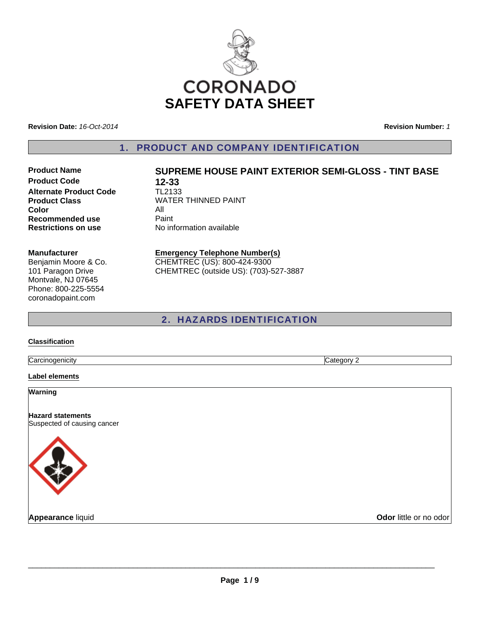

**Revision Date:** *16-Oct-2014*

**Revision Number:** *1*

1. PRODUCT AND COMPANY IDENTIFICATION

**Product Code 12-33**<br>**Alternate Product Code 12133 Alternate Product Code Color** All **Recommended use Paint Restrictions on use** No information available

# **Product Name SUPREME HOUSE PAINT EXTERIOR SEMI-GLOSS - TINT BASE**

**Product Class WATER THINNED PAINT** 

#### **Manufacturer**

Benjamin Moore & Co. 101 Paragon Drive Montvale, NJ 07645 Phone: 800-225-5554 coronadopaint.com

## **Emergency Telephone Number(s)** CHEMTREC (US): 800-424-9300

CHEMTREC (outside US): (703)-527-3887

## 2. HAZARDS IDENTIFICATION

## **Classification**

**Carcinogenicity** Category 2

## **Label elements**

**Warning**

**Hazard statements** Suspected of causing cancer



**Appearance** liquid **COVID-100 COVID-100 COVID-100 COVID-100 COVID-100 COVID-100 COVID-100 COVID-100 COVID-100 COVID-100 COVID-100 COVID-100 COVID-100 COVID-100 COVID-100 COVID-100 COVID-100 COVID-100 COVID-100 COVID-100 C**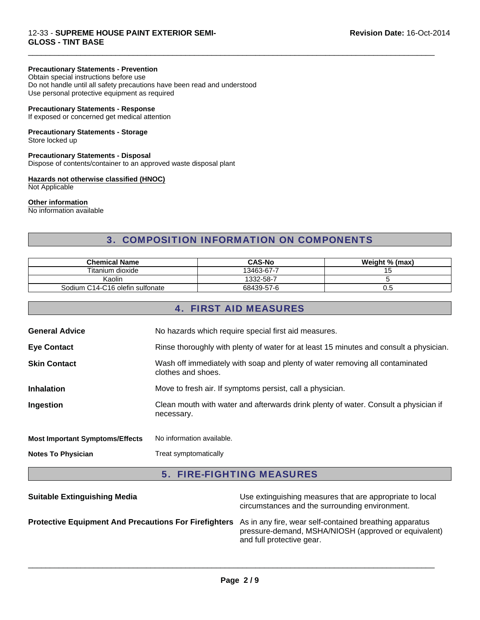## **Precautionary Statements - Prevention**

Obtain special instructions before use Do not handle until all safety precautions have been read and understood Use personal protective equipment as required

## **Precautionary Statements - Response**

If exposed or concerned get medical attention

## **Precautionary Statements - Storage**

Store locked up

## **Precautionary Statements - Disposal**

Dispose of contents/container to an approved waste disposal plant

## **Hazards not otherwise classified (HNOC)**

Not Applicable

## **Other information**

No information available

## 3. COMPOSITION INFORMATION ON COMPONENTS

 $\Box$ 

| <b>Chemical Name</b>            | <b>CAS-No</b> | Weight % (max) |
|---------------------------------|---------------|----------------|
| Titanium dioxide                | 13463-67-7    |                |
| Kaolin                          | 1332-58-7     |                |
| Sodium C14-C16 olefin sulfonate | 68439-57-6    | ∪.∪            |

## 4. FIRST AID MEASURES

| <b>Notes To Physician</b>              | Treat symptomatically                                                                              |
|----------------------------------------|----------------------------------------------------------------------------------------------------|
| <b>Most Important Symptoms/Effects</b> | No information available.                                                                          |
| Ingestion                              | Clean mouth with water and afterwards drink plenty of water. Consult a physician if<br>necessary.  |
| <b>Inhalation</b>                      | Move to fresh air. If symptoms persist, call a physician.                                          |
| <b>Skin Contact</b>                    | Wash off immediately with soap and plenty of water removing all contaminated<br>clothes and shoes. |
| <b>Eye Contact</b>                     | Rinse thoroughly with plenty of water for at least 15 minutes and consult a physician.             |
| <b>General Advice</b>                  | No hazards which require special first aid measures.                                               |
|                                        |                                                                                                    |

# 5. FIRE-FIGHTING MEASURES

| <b>Suitable Extinguishing Media</b>                                                                           | Use extinguishing measures that are appropriate to local<br>circumstances and the surrounding environment. |
|---------------------------------------------------------------------------------------------------------------|------------------------------------------------------------------------------------------------------------|
| Protective Equipment And Precautions For Firefighters As in any fire, wear self-contained breathing apparatus | pressure-demand, MSHA/NIOSH (approved or equivalent)<br>and full protective gear.                          |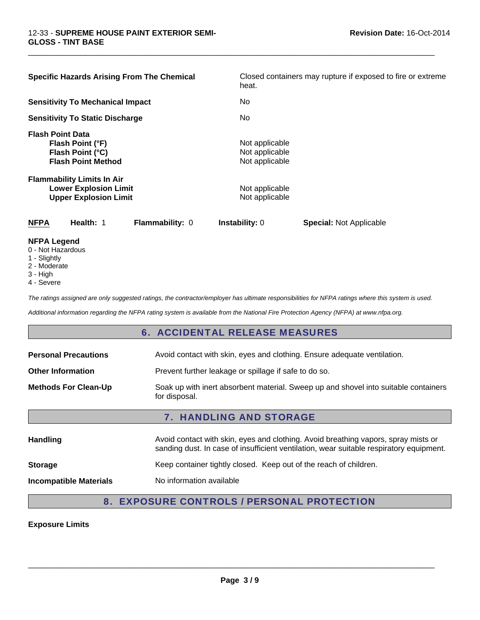| <b>Specific Hazards Arising From The Chemical</b>                                                 | Closed containers may rupture if exposed to fire or extreme<br>heat. |
|---------------------------------------------------------------------------------------------------|----------------------------------------------------------------------|
| <b>Sensitivity To Mechanical Impact</b>                                                           | No.                                                                  |
| <b>Sensitivity To Static Discharge</b>                                                            | No.                                                                  |
| <b>Flash Point Data</b><br>Flash Point (°F)<br>Flash Point (°C)<br><b>Flash Point Method</b>      | Not applicable<br>Not applicable<br>Not applicable                   |
| <b>Flammability Limits In Air</b><br><b>Lower Explosion Limit</b><br><b>Upper Explosion Limit</b> | Not applicable<br>Not applicable                                     |
| <b>NFPA</b><br>Health: 1<br><b>Flammability: 0</b>                                                | <b>Instability: 0</b><br><b>Special: Not Applicable</b>              |

 $\Box$ 

#### **NFPA Legend**

- 0 Not Hazardous
- 1 Slightly
- 2 Moderate
- 3 High
- 4 Severe

*The ratings assigned are only suggested ratings, the contractor/employer has ultimate responsibilities for NFPA ratings where this system is used.*

*Additional information regarding the NFPA rating system is available from the National Fire Protection Agency (NFPA) at www.nfpa.org.*

## 6. ACCIDENTAL RELEASE MEASURES

| i i a carattina ac-            | Augid contact with alim augo and olething. Augid broatbing vanore, oprovincial or                    |  |
|--------------------------------|------------------------------------------------------------------------------------------------------|--|
| <b>7. HANDLING AND STORAGE</b> |                                                                                                      |  |
| <b>Methods For Clean-Up</b>    | Soak up with inert absorbent material. Sweep up and shovel into suitable containers<br>for disposal. |  |
| <b>Other Information</b>       | Prevent further leakage or spillage if safe to do so.                                                |  |
| <b>Personal Precautions</b>    | Avoid contact with skin, eyes and clothing. Ensure adequate ventilation.                             |  |

| <b>Handling</b>               | Avoid contact with skin, eyes and clothing. Avoid breathing vapors, spray mists or<br>sanding dust. In case of insufficient ventilation, wear suitable respiratory equipment. |  |  |
|-------------------------------|-------------------------------------------------------------------------------------------------------------------------------------------------------------------------------|--|--|
| <b>Storage</b>                | Keep container tightly closed. Keep out of the reach of children.                                                                                                             |  |  |
| <b>Incompatible Materials</b> | No information available                                                                                                                                                      |  |  |

# 8. EXPOSURE CONTROLS / PERSONAL PROTECTION

## **Exposure Limits**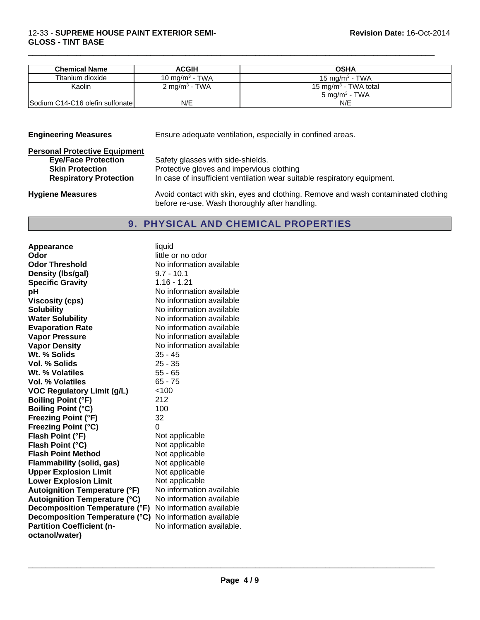| <b>Chemical Name</b>            | <b>ACGIH</b>               | <b>OSHA</b>                                                   |
|---------------------------------|----------------------------|---------------------------------------------------------------|
| Titanium dioxide                | 10 mg/m <sup>3</sup> - TWA | 15 mg/m <sup>3</sup> - TWA                                    |
| Kaolin                          | 2 mg/m <sup>3</sup> - TWA  | 15 mg/m <sup>3</sup> - TWA total<br>5 mg/m <sup>3</sup> - TWA |
| Sodium C14-C16 olefin sulfonate | N/E                        | N/E                                                           |

 $\Box$ 

| <b>Engineering Measures</b>          | Ensure adequate ventilation, especially in confined areas.                                                                          |  |
|--------------------------------------|-------------------------------------------------------------------------------------------------------------------------------------|--|
| <b>Personal Protective Equipment</b> |                                                                                                                                     |  |
| <b>Eye/Face Protection</b>           | Safety glasses with side-shields.                                                                                                   |  |
| <b>Skin Protection</b>               | Protective gloves and impervious clothing                                                                                           |  |
| <b>Respiratory Protection</b>        | In case of insufficient ventilation wear suitable respiratory equipment.                                                            |  |
| <b>Hygiene Measures</b>              | Avoid contact with skin, eyes and clothing. Remove and wash contaminated clothing<br>before re-use. Wash thoroughly after handling. |  |

## 9. PHYSICAL AND CHEMICAL PROPERTIES

| <b>Appearance</b>                    | liquid                    |
|--------------------------------------|---------------------------|
| Odor                                 | little or no odor         |
| <b>Odor Threshold</b>                | No information available  |
| Density (Ibs/gal)                    | $9.7 - 10.1$              |
| <b>Specific Gravity</b>              | 1.16 - 1.21               |
| рH                                   | No information available  |
| <b>Viscosity (cps)</b>               | No information available  |
| <b>Solubility</b>                    | No information available  |
| <b>Water Solubility</b>              | No information available  |
| <b>Evaporation Rate</b>              | No information available  |
| <b>Vapor Pressure</b>                | No information available  |
| <b>Vapor Density</b>                 | No information available  |
| Wt. % Solids                         | $35 - 45$                 |
| Vol. % Solids                        | $25 - 35$                 |
| Wt. % Volatiles                      | $55 - 65$                 |
| Vol. % Volatiles                     | $65 - 75$                 |
| <b>VOC Regulatory Limit (g/L)</b>    | < 100                     |
| <b>Boiling Point (°F)</b>            | 212                       |
| <b>Boiling Point (°C)</b>            | 100                       |
| <b>Freezing Point (°F)</b>           | 32                        |
| Freezing Point (°C)                  | 0                         |
| Flash Point (°F)                     | Not applicable            |
| Flash Point (°C)                     | Not applicable            |
| <b>Flash Point Method</b>            | Not applicable            |
| <b>Flammability (solid, gas)</b>     | Not applicable            |
| <b>Upper Explosion Limit</b>         | Not applicable            |
| <b>Lower Explosion Limit</b>         | Not applicable            |
| <b>Autoignition Temperature (°F)</b> | No information available  |
| <b>Autoignition Temperature (°C)</b> | No information available  |
| Decomposition Temperature (°F)       | No information available  |
| Decomposition Temperature (°C)       | No information available  |
| <b>Partition Coefficient (n-</b>     | No information available. |
| octanol/water)                       |                           |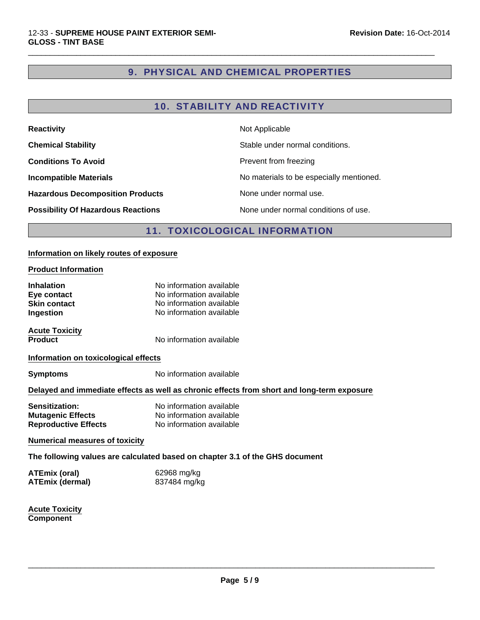# 9. PHYSICAL AND CHEMICAL PROPERTIES

 $\Box$ 

## 10. STABILITY AND REACTIVITY

| <b>Reactivity</b>                         | Not Applicable                           |
|-------------------------------------------|------------------------------------------|
| <b>Chemical Stability</b>                 | Stable under normal conditions.          |
| <b>Conditions To Avoid</b>                | Prevent from freezing                    |
| <b>Incompatible Materials</b>             | No materials to be especially mentioned. |
| <b>Hazardous Decomposition Products</b>   | None under normal use.                   |
| <b>Possibility Of Hazardous Reactions</b> | None under normal conditions of use.     |

## **11. TOXICOLOGICAL INFORMATION**

## **Information on likely routes of exposure**

## **Product Information**

| <b>Inhalation</b><br>Eye contact<br><b>Skin contact</b><br>Ingestion                       | No information available<br>No information available<br>No information available<br>No information available |  |  |
|--------------------------------------------------------------------------------------------|--------------------------------------------------------------------------------------------------------------|--|--|
| <b>Acute Toxicity</b><br><b>Product</b>                                                    | No information available                                                                                     |  |  |
| Information on toxicological effects                                                       |                                                                                                              |  |  |
| <b>Symptoms</b>                                                                            | No information available                                                                                     |  |  |
| Delayed and immediate effects as well as chronic effects from short and long-term exposure |                                                                                                              |  |  |
| Sensitization:<br><b>Mutagenic Effects</b><br><b>Reproductive Effects</b>                  | No information available<br>No information available<br>No information available                             |  |  |
| <b>Numerical measures of toxicity</b>                                                      |                                                                                                              |  |  |
| The following values are calculated based on chapter 3.1 of the GHS document               |                                                                                                              |  |  |
| <b>ATEmix (oral)</b><br><b>ATEmix (dermal)</b>                                             | 62968 mg/kg<br>837484 mg/kg                                                                                  |  |  |
| <b>Acute Toxicity</b>                                                                      |                                                                                                              |  |  |

**Component**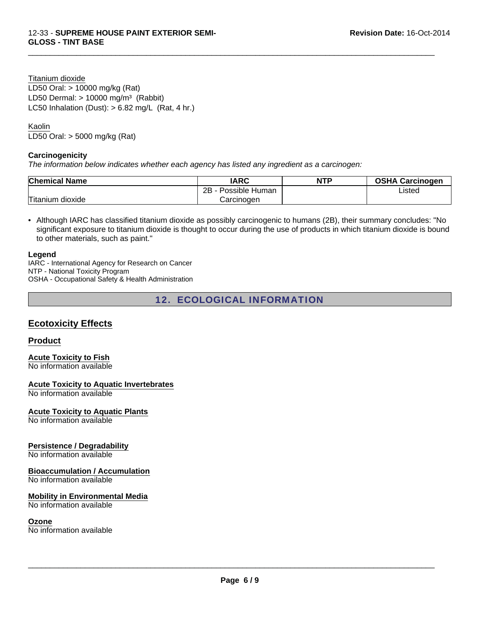Titanium dioxide LC50 Inhalation (Dust):  $> 6.82$  mg/L (Rat, 4 hr.) LD50 Oral: > 10000 mg/kg (Rat) LD50 Dermal:  $> 10000$  mg/m<sup>3</sup> (Rabbit)

## Kaolin

LD50 Oral: > 5000 mg/kg (Rat)

## **Carcinogenicity**

*The information below indicates whether each agency has listed any ingredient as a carcinogen:*

| <b>Chemical Name</b> | <b>IARC</b>          | <b>NTP</b> | <b>OSHA Carcinogen</b> |
|----------------------|----------------------|------------|------------------------|
|                      | Possible Human<br>2R |            | Listed                 |
| Titanium dioxide     | Carcinogen           |            |                        |

 $\Box$ 

• Although IARC has classified titanium dioxide as possibly carcinogenic to humans (2B), their summary concludes: "No significant exposure to titanium dioxide is thought to occur during the use of products in which titanium dioxide is bound to other materials, such as paint."

#### **Legend**

IARC - International Agency for Research on Cancer NTP - National Toxicity Program OSHA - Occupational Safety & Health Administration

## 12. ECOLOGICAL INFORMATION

## **Ecotoxicity Effects**

## **Product**

**Acute Toxicity to Fish** No information available

**Acute Toxicity to Aquatic Invertebrates**

No information available

## **Acute Toxicity to Aquatic Plants**

No information available

## **Persistence / Degradability**

No information available

## **Bioaccumulation / Accumulation**

No information available

## **Mobility in Environmental Media**

No information available

#### **Ozone**

No information available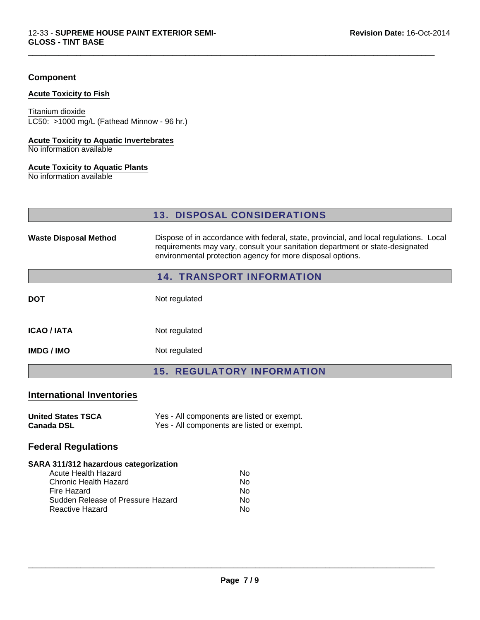## **Component**

#### **Acute Toxicity to Fish**

LC50: >1000 mg/L (Fathead Minnow - 96 hr.) Titanium dioxide

## **Acute Toxicity to Aquatic Invertebrates**

No information available

## **Acute Toxicity to Aquatic Plants**

No information available

## 13. DISPOSAL CONSIDERATIONS

 $\Box$ 

| <b>Waste Disposal Method</b> | Dispose of in accordance with federal, state, provincial, and local regulations. Local<br>requirements may vary, consult your sanitation department or state-designated<br>environmental protection agency for more disposal options. |
|------------------------------|---------------------------------------------------------------------------------------------------------------------------------------------------------------------------------------------------------------------------------------|
|                              | <b>14. TRANSPORT INFORMATION</b>                                                                                                                                                                                                      |
|                              |                                                                                                                                                                                                                                       |

| <b>DOT</b> | Not regulated |
|------------|---------------|
|            |               |

| <b>ICAO / IATA</b> | Not regulated |
|--------------------|---------------|
|                    |               |

**IMDG / IMO** Not regulated

15. REGULATORY INFORMATION

## **International Inventories**

| <b>United States TSCA</b> | Yes - All components are listed or exempt. |
|---------------------------|--------------------------------------------|
| <b>Canada DSL</b>         | Yes - All components are listed or exempt. |

## **Federal Regulations**

## **SARA 311/312 hazardous categorization**

| Acute Health Hazard               | N٥ |
|-----------------------------------|----|
| Chronic Health Hazard             | No |
| Fire Hazard                       | No |
| Sudden Release of Pressure Hazard | No |
| Reactive Hazard                   | N٥ |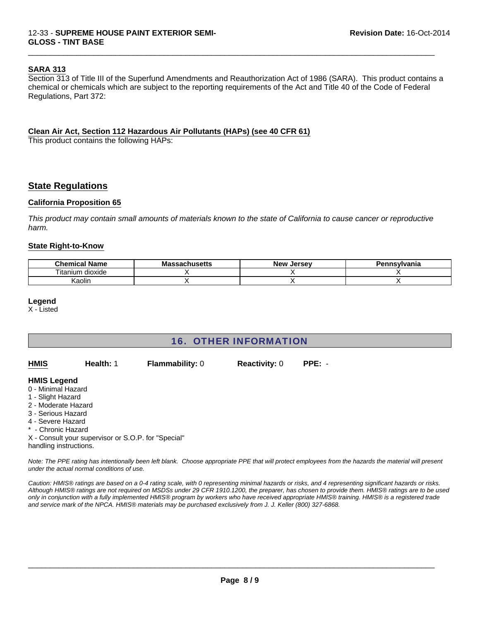## **SARA 313**

Section 313 of Title III of the Superfund Amendments and Reauthorization Act of 1986 (SARA). This product contains a chemical or chemicals which are subject to the reporting requirements of the Act and Title 40 of the Code of Federal Regulations, Part 372:

 $\Box$ 

## **Clean Air Act, Section 112 Hazardous Air Pollutants (HAPs) (see 40 CFR 61)**

This product contains the following HAPs:

## **State Regulations**

## **California Proposition 65**

*This product may contain small amounts of materials known to the state of California to cause cancer or reproductive harm.*

#### **State Right-to-Know**

| <b>Chemical</b><br>. .<br>Name    | Ма<br>:cachucatte<br>duliuscus. | <b>New</b><br>. Jersev | Pennsylvania |
|-----------------------------------|---------------------------------|------------------------|--------------|
| $- \cdot$ .<br>dioxide<br>itanium |                                 |                        |              |
| . .<br>Kaolin                     |                                 |                        |              |

#### **Legend**

X - Listed

| <b>16. OTHER INFORMATION</b>                                                                                                                                                    |                                                     |                        |                      |                                                                                                                                                       |
|---------------------------------------------------------------------------------------------------------------------------------------------------------------------------------|-----------------------------------------------------|------------------------|----------------------|-------------------------------------------------------------------------------------------------------------------------------------------------------|
| <b>HMIS</b>                                                                                                                                                                     | Health: 1                                           | <b>Flammability: 0</b> | <b>Reactivity: 0</b> | $PPE: -$                                                                                                                                              |
| <b>HMIS Legend</b><br>0 - Minimal Hazard<br>1 - Slight Hazard<br>2 - Moderate Hazard<br>3 - Serious Hazard<br>4 - Severe Hazard<br>* - Chronic Hazard<br>handling instructions. | X - Consult your supervisor or S.O.P. for "Special" |                        |                      |                                                                                                                                                       |
|                                                                                                                                                                                 | under the actual normal conditions of use.          |                        |                      | Note: The PPE rating has intentionally been left blank. Choose appropriate PPE that will protect employees from the hazards the material will present |

*Caution: HMIS® ratings are based on a 0-4 rating scale, with 0 representing minimal hazards or risks, and 4 representing significant hazards or risks. Although HMIS® ratings are not required on MSDSs under 29 CFR 1910.1200, the preparer, has chosen to provide them. HMIS® ratings are to be used only in conjunction with a fully implemented HMIS® program by workers who have received appropriate HMIS® training. HMIS® is a registered trade*

*and service mark of the NPCA. HMIS® materials may be purchased exclusively from J. J. Keller (800) 327-6868.*